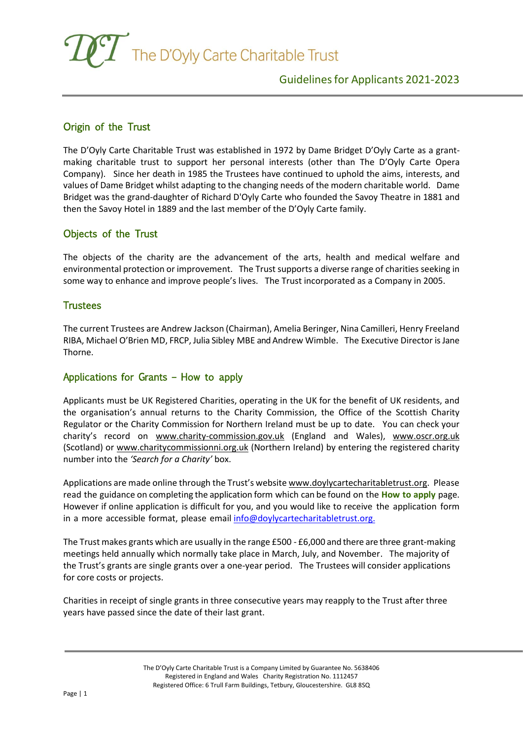The D'Oyly Carte Charitable Trust

# Origin of the Trust

The D'Oyly Carte Charitable Trust was established in 1972 by Dame Bridget D'Oyly Carte as a grantmaking charitable trust to support her personal interests (other than The D'Oyly Carte Opera Company). Since her death in 1985 the Trustees have continued to uphold the aims, interests, and values of Dame Bridget whilst adapting to the changing needs of the modern charitable world. Dame Bridget was the grand-daughter of Richard D'Oyly Carte who founded the Savoy Theatre in 1881 and then the Savoy Hotel in 1889 and the last member of the D'Oyly Carte family.

### Objects of the Trust

The objects of the charity are the advancement of the arts, health and medical welfare and environmental protection or improvement. The Trust supports a diverse range of charities seeking in some way to enhance and improve people's lives. The Trust incorporated as a Company in 2005.

#### **Trustees**

The current Trustees are Andrew Jackson (Chairman), Amelia Beringer, Nina Camilleri, Henry Freeland RIBA, Michael O'Brien MD, FRCP, Julia Sibley MBE and Andrew Wimble. The Executive Director isJane Thorne.

### Applications for Grants – How to apply

Applicants must be UK Registered Charities, operating in the UK for the benefit of UK residents, and the organisation's annual returns to the Charity Commission, the Office of the Scottish Charity Regulator or the Charity Commission for Northern Ireland must be up to date. You can check your charity's record on [www.charity-commission.gov.uk](http://www.charity-commission.gov.uk/) (England and Wales), [www.oscr.org.uk](http://www.oscr.org.uk/) [\(S](http://www.oscr.org.uk/)cotland) or [www.charitycommissionni.org.uk](http://www.charitycommissionni.org.uk/) (Northern Ireland) by entering the registered charity number into the *'Search for a Charity'* box.

Applications are made online through the Trust's websit[e www.doylycartecharitabletrust.org.](http://www.doylycartecharitabletrust.org/) Please read the guidance on completing the application form which can be found on the **How to apply** page. However if online application is difficult for you, and you would like to receive the application form in a more accessible format, please email [info@doylycartecharitabletrust.org.](mailto:info@doylycartecharitabletrust.org.)

The Trust makes grants which are usually in the range £500 - £6,000 and there are three grant-making meetings held annually which normally take place in March, July, and November. The majority of the Trust's grants are single grants over a one-year period. The Trustees will consider applications for core costs or projects.

Charities in receipt of single grants in three consecutive years may reapply to the Trust after three years have passed since the date of their last grant.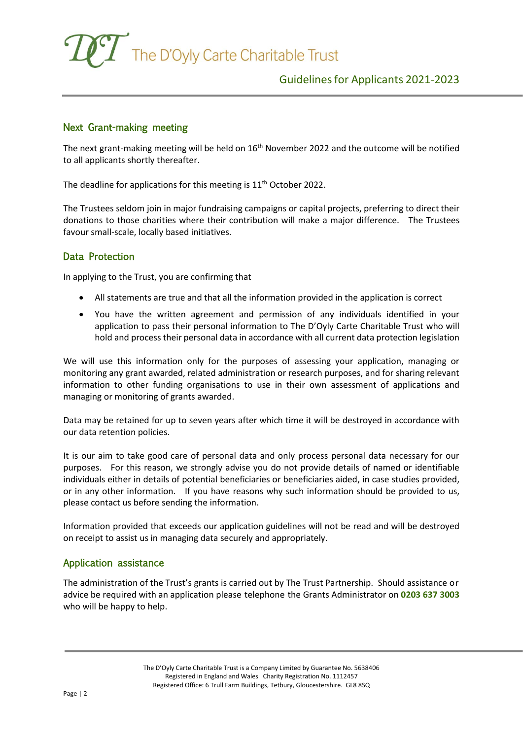

# Next Grant-making meeting

The next grant-making meeting will be held on 16<sup>th</sup> November 2022 and the outcome will be notified to all applicants shortly thereafter.

The deadline for applications for this meeting is  $11<sup>th</sup>$  October 2022.

The Trustees seldom join in major fundraising campaigns or capital projects, preferring to direct their donations to those charities where their contribution will make a major difference. The Trustees favour small-scale, locally based initiatives.

### Data Protection

In applying to the Trust, you are confirming that

- All statements are true and that all the information provided in the application is correct
- You have the written agreement and permission of any individuals identified in your application to pass their personal information to The D'Oyly Carte Charitable Trust who will hold and process their personal data in accordance with all current data protection legislation

We will use this information only for the purposes of assessing your application, managing or monitoring any grant awarded, related administration or research purposes, and for sharing relevant information to other funding organisations to use in their own assessment of applications and managing or monitoring of grants awarded.

Data may be retained for up to seven years after which time it will be destroyed in accordance with our data retention policies.

It is our aim to take good care of personal data and only process personal data necessary for our purposes. For this reason, we strongly advise you do not provide details of named or identifiable individuals either in details of potential beneficiaries or beneficiaries aided, in case studies provided, or in any other information. If you have reasons why such information should be provided to us, please contact us before sending the information.

Information provided that exceeds our application guidelines will not be read and will be destroyed on receipt to assist us in managing data securely and appropriately.

### Application assistance

The administration of the Trust's grants is carried out by The Trust Partnership. Should assistance or advice be required with an application please telephone the Grants Administrator on **0203 637 3003** who will be happy to help.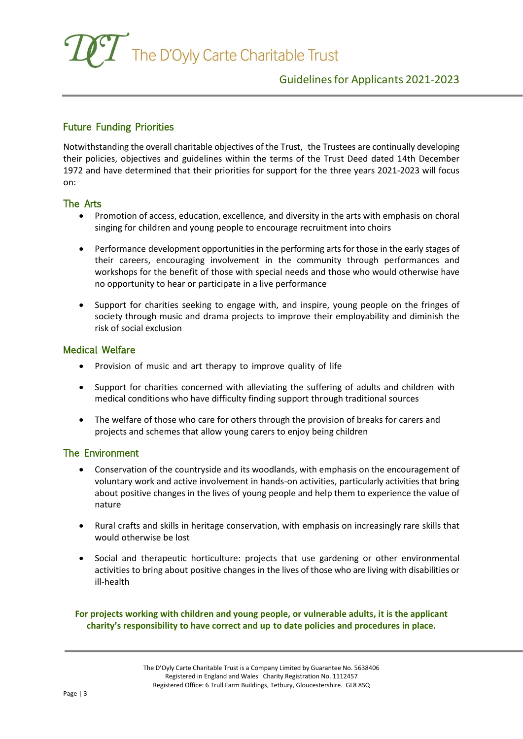The D'Oyly Carte Charitable Trust

# Guidelinesfor Applicants 2021-2023

### Future Funding Priorities

Notwithstanding the overall charitable objectives of the Trust, the Trustees are continually developing their policies, objectives and guidelines within the terms of the Trust Deed dated 14th December 1972 and have determined that their priorities for support for the three years 2021-2023 will focus on:

#### The Arts

- Promotion of access, education, excellence, and diversity in the arts with emphasis on choral singing for children and young people to encourage recruitment into choirs
- Performance development opportunities in the performing arts for those in the early stages of their careers, encouraging involvement in the community through performances and workshops for the benefit of those with special needs and those who would otherwise have no opportunity to hear or participate in a live performance
- Support for charities seeking to engage with, and inspire, young people on the fringes of society through music and drama projects to improve their employability and diminish the risk of social exclusion

#### Medical Welfare

- Provision of music and art therapy to improve quality of life
- Support for charities concerned with alleviating the suffering of adults and children with medical conditions who have difficulty finding support through traditional sources
- The welfare of those who care for others through the provision of breaks for carers and projects and schemes that allow young carers to enjoy being children

### The Environment

- Conservation of the countryside and its woodlands, with emphasis on the encouragement of voluntary work and active involvement in hands-on activities, particularly activities that bring about positive changes in the lives of young people and help them to experience the value of nature
- Rural crafts and skills in heritage conservation, with emphasis on increasingly rare skills that would otherwise be lost
- Social and therapeutic horticulture: projects that use gardening or other environmental activities to bring about positive changes in the lives of those who are living with disabilities or ill-health

#### **For projects working with children and young people, or vulnerable adults, it is the applicant charity's responsibility to have correct and up to date policies and procedures in place.**